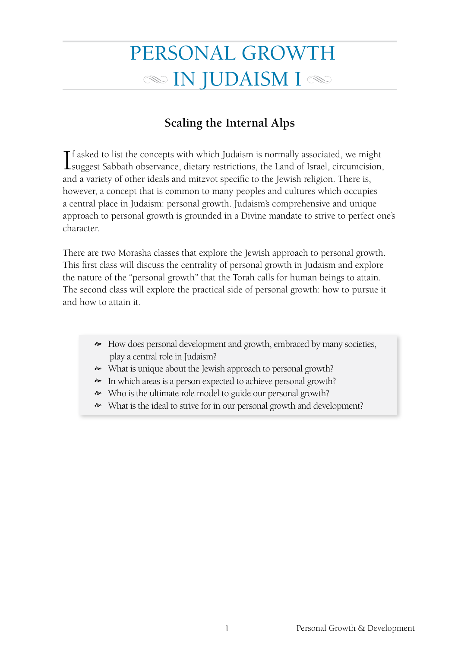# PERSONAL GROWTH  $\infty$  IN JUDAISM I  $\infty$

# **Scaling the Internal Alps**

If asked to list the concepts with which Judaism is normally associated, we might suggest Sabbath observance, dietary restrictions, the Land of Israel, circumcision,  $\mathsf T$  f asked to list the concepts with which Judaism is normally associated, we might and a variety of other ideals and mitzvot specific to the Jewish religion. There is, however, a concept that is common to many peoples and cultures which occupies a central place in Judaism: personal growth. Judaism's comprehensive and unique approach to personal growth is grounded in a Divine mandate to strive to perfect one's character.

There are two Morasha classes that explore the Jewish approach to personal growth. This first class will discuss the centrality of personal growth in Judaism and explore the nature of the "personal growth" that the Torah calls for human beings to attain. The second class will explore the practical side of personal growth: how to pursue it and how to attain it.

- How does personal development and growth, embraced by many societies, play a central role in Judaism?
- What is unique about the Jewish approach to personal growth?
- In which areas is a person expected to achieve personal growth?
- Who is the ultimate role model to guide our personal growth?
- What is the ideal to strive for in our personal growth and development?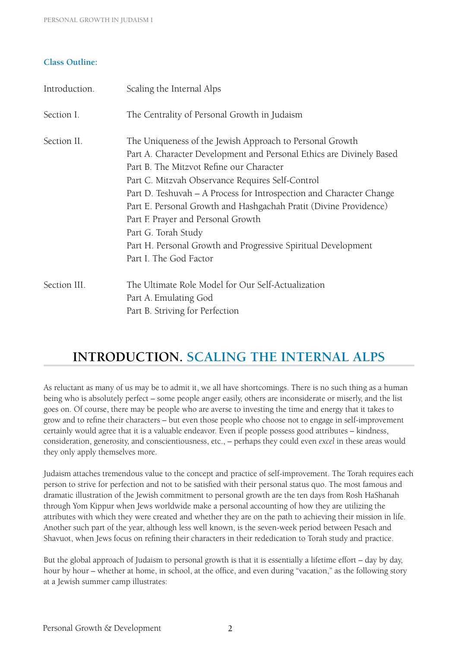#### **Class Outline:**

| Introduction. | Scaling the Internal Alps                                                                                                                                                                                                                                                                                                                                                                                                                                                                                                            |
|---------------|--------------------------------------------------------------------------------------------------------------------------------------------------------------------------------------------------------------------------------------------------------------------------------------------------------------------------------------------------------------------------------------------------------------------------------------------------------------------------------------------------------------------------------------|
| Section I.    | The Centrality of Personal Growth in Judaism                                                                                                                                                                                                                                                                                                                                                                                                                                                                                         |
| Section II.   | The Uniqueness of the Jewish Approach to Personal Growth<br>Part A. Character Development and Personal Ethics are Divinely Based<br>Part B. The Mitzvot Refine our Character<br>Part C. Mitzvah Observance Requires Self-Control<br>Part D. Teshuvah – A Process for Introspection and Character Change<br>Part E. Personal Growth and Hashgachah Pratit (Divine Providence)<br>Part F. Prayer and Personal Growth<br>Part G. Torah Study<br>Part H. Personal Growth and Progressive Spiritual Development<br>Part I. The God Factor |
| Section III.  | The Ultimate Role Model for Our Self-Actualization<br>Part A. Emulating God<br>Part B. Striving for Perfection                                                                                                                                                                                                                                                                                                                                                                                                                       |

# **Introduction. Scaling the Internal Alps**

As reluctant as many of us may be to admit it, we all have shortcomings. There is no such thing as a human being who is absolutely perfect – some people anger easily, others are inconsiderate or miserly, and the list goes on. Of course, there may be people who are averse to investing the time and energy that it takes to grow and to refine their characters – but even those people who choose not to engage in self-improvement certainly would agree that it is a valuable endeavor. Even if people possess good attributes – kindness, consideration, generosity, and conscientiousness, etc., – perhaps they could even *excel* in these areas would they only apply themselves more.

Judaism attaches tremendous value to the concept and practice of self-improvement. The Torah requires each person to strive for perfection and not to be satisfied with their personal status quo. The most famous and dramatic illustration of the Jewish commitment to personal growth are the ten days from Rosh HaShanah through Yom Kippur when Jews worldwide make a personal accounting of how they are utilizing the attributes with which they were created and whether they are on the path to achieving their mission in life. Another such part of the year, although less well known, is the seven-week period between Pesach and Shavuot, when Jews focus on refining their characters in their rededication to Torah study and practice.

But the global approach of Judaism to personal growth is that it is essentially a lifetime effort – day by day, hour by hour – whether at home, in school, at the office, and even during "vacation," as the following story at a Jewish summer camp illustrates: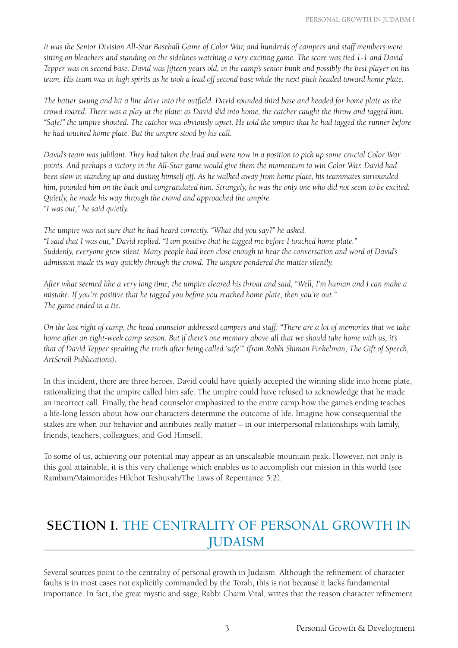*It was the Senior Division All-Star Baseball Game of Color War, and hundreds of campers and staff members were sitting on bleachers and standing on the sidelines watching a very exciting game. The score was tied 1-1 and David Tepper was on second base. David was fifteen years old, in the camp's senior bunk and possibly the best player on his team. His team was in high spirits as he took a lead off second base while the next pitch headed toward home plate.*

*The batter swung and hit a line drive into the outfield. David rounded third base and headed for home plate as the crowd roared. There was a play at the plate; as David slid into home, the catcher caught the throw and tagged him. "Safe!" the umpire shouted. The catcher was obviously upset. He told the umpire that he had tagged the runner before he had touched home plate. But the umpire stood by his call.* 

*David's team was jubilant. They had taken the lead and were now in a position to pick up some crucial Color War points. And perhaps a victory in the All-Star game would give them the momentum to win Color War. David had been slow in standing up and dusting himself off. As he walked away from home plate, his teammates surrounded him, pounded him on the back and congratulated him. Strangely, he was the only one who did not seem to be excited. Quietly, he made his way through the crowd and approached the umpire. "I was out," he said quietly.* 

*The umpire was not sure that he had heard correctly. "What did you say?" he asked. "I said that I was out," David replied. "I am positive that he tagged me before I touched home plate." Suddenly, everyone grew silent. Many people had been close enough to hear the conversation and word of David's admission made its way quickly through the crowd. The umpire pondered the matter silently.* 

*After what seemed like a very long time, the umpire cleared his throat and said, "Well, I'm human and I can make a mistake. If you're positive that he tagged you before you reached home plate, then you're out." The game ended in a tie.* 

*On the last night of camp, the head counselor addressed campers and staff: "There are a lot of memories that we take home after an eight-week camp season. But if there's one memory above all that we should take home with us, it's that of David Tepper speaking the truth after being called 'safe'" (from Rabbi Shimon Finkelman, The Gift of Speech, ArtScroll Publications).*

In this incident, there are three heroes. David could have quietly accepted the winning slide into home plate, rationalizing that the umpire called him safe. The umpire could have refused to acknowledge that he made an incorrect call. Finally, the head counselor emphasized to the entire camp how the game's ending teaches a life-long lesson about how our characters determine the outcome of life. Imagine how consequential the stakes are when our behavior and attributes really matter – in our interpersonal relationships with family, friends, teachers, colleagues, and God Himself.

To some of us, achieving our potential may appear as an unscaleable mountain peak. However, not only is this goal attainable, it is this very challenge which enables us to accomplish our mission in this world (see Rambam/Maimonides Hilchot Teshuvah/The Laws of Repentance 5:2).

# **Section I.** The Centrality of Personal Growth in **JUDAISM**

Several sources point to the centrality of personal growth in Judaism. Although the refinement of character faults is in most cases not explicitly commanded by the Torah, this is not because it lacks fundamental importance. In fact, the great mystic and sage, Rabbi Chaim Vital, writes that the reason character refinement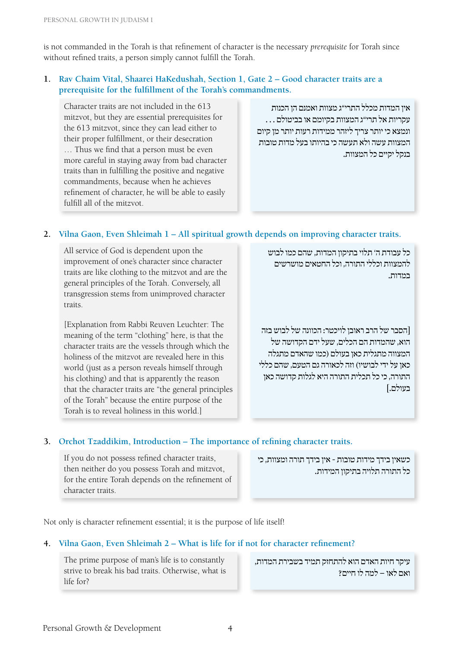is not commanded in the Torah is that refinement of character is the necessary *prerequisite* for Torah since without refined traits, a person simply cannot fulfill the Torah.

#### **1. Rav Chaim Vital, Shaarei HaKedushah, Section 1, Gate 2 – Good character traits are a prerequisite for the fulfillment of the Torah's commandments.**

Character traits are not included in the 613 mitzvot, but they are essential prerequisites for the 613 mitzvot, since they can lead either to their proper fulfillment, or their desecration … Thus we find that a person must be even more careful in staying away from bad character traits than in fulfilling the positive and negative commandments, because when he achieves refinement of character, he will be able to easily fulfill all of the mitzvot.

אין המדות מכלל התרי"ג מצוות ואמנם הן הכנות עקריות אל תרי"ג המצוות בקיומם או בביטולם . . . ונמצא כי יותר צריך ליזהר ממידות רעות יותר מן קיום המצוות עשה ולא תעשה כי בהיותו בעל מדות טובות בנקל יקיים כל המצוות.

#### **2. Vilna Gaon, Even Shleimah 1 – All spiritual growth depends on improving character traits.**

All service of God is dependent upon the improvement of one's character since character traits are like clothing to the mitzvot and are the general principles of the Torah. Conversely, all transgression stems from unimproved character traits.

[Explanation from Rabbi Reuven Leuchter: The meaning of the term "clothing" here, is that the character traits are the vessels through which the holiness of the mitzvot are revealed here in this world (just as a person reveals himself through his clothing) and that is apparently the reason that the character traits are "the general principles of the Torah" because the entire purpose of the Torah is to reveal holiness in this world.]

כל עבודת ה' תלוי בתיקון המדות, שהם כמו לבוש להמצוות וכללי התורה, וכל החטאים מושרשים במדות.

]הסבר של הרב ראובן לויכטר: הכוונה של לבוש בזה הוא, שהמדות הם הכלים, שעל ידם הקדושה של המצווה מתגלית כאן בעולם )כמו שהאדם מתגלה כאן על ידי לבושיו) וזה לכאורה גם הטעם, שהם כללי התורה, כי כל תכלית התורה היא לגלות קדושה כאן בעולם.[

#### **3. Orchot Tzaddikim, Introduction – The importance of refining character traits.**

If you do not possess refined character traits, then neither do you possess Torah and mitzvot, for the entire Torah depends on the refinement of character traits.

כשאין בידך מידות טובות - אין בידך תורה ומצוות, כי כל התורה תלויה בתיקון המידות.

Not only is character refinement essential; it is the purpose of life itself!

### **4. Vilna Gaon, Even Shleimah 2 – What is life for if not for character refinement?**

The prime purpose of man's life is to constantly strive to break his bad traits. Otherwise, what is life for?

עיקר חיות האדם הוא להתחזק תמיד בשבירת המדות, ואם לאו – למה לו חיים?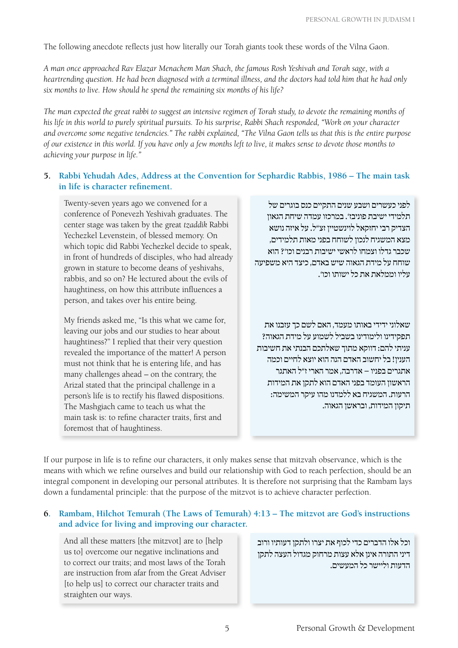The following anecdote reflects just how literally our Torah giants took these words of the Vilna Gaon.

*A man once approached Rav Elazar Menachem Man Shach, the famous Rosh Yeshivah and Torah sage, with a heartrending question. He had been diagnosed with a terminal illness, and the doctors had told him that he had only six months to live. How should he spend the remaining six months of his life?*

*The man expected the great rabbi to suggest an intensive regimen of Torah study, to devote the remaining months of his life in this world to purely spiritual pursuits. To his surprise, Rabbi Shach responded, "Work on your character and overcome some negative tendencies." The rabbi explained, "The Vilna Gaon tells us that this is the entire purpose of our existence in this world. If you have only a few months left to live, it makes sense to devote those months to achieving your purpose in life."*

#### **5. Rabbi Yehudah Ades, Address at the Convention for Sephardic Rabbis, 1986 – The main task in life is character refinement.**

Twenty-seven years ago we convened for a conference of Ponevezh Yeshivah graduates. The center stage was taken by the great *tzaddik* Rabbi Yechezkel Levenstein, of blessed memory. On which topic did Rabbi Yechezkel decide to speak, in front of hundreds of disciples, who had already grown in stature to become deans of yeshivahs, rabbis, and so on? He lectured about the evils of haughtiness, on how this attribute influences a person, and takes over his entire being.

My friends asked me, "Is this what we came for, leaving our jobs and our studies to hear about haughtiness?" I replied that their very question revealed the importance of the matter! A person must not think that he is entering life, and has many challenges ahead – on the contrary, the Arizal stated that the principal challenge in a person's life is to rectify his flawed dispositions. The Mashgiach came to teach us what the main task is: to refine character traits, first and foremost that of haughtiness.

לפני כעשרים ושבע שנים התקיים כנס בוגרים של תלמידי ישיבת פוניבז'. במרכזו עמדה שיחת הגאון הצדיק רבי יחזקאל לוינשטיין זצ"ל. על איזה נושא מצא המשגיח לנכון לשוחח בפני מאות תלמידים, שכבר גדלו וצמחו לראשי ישיבות רבנים וכו'? הוא שוחח על מידת הגאוה שיש באדם, כיצד היא משפיעה עליו וממלאת את כל ישותו וכו'.

שאלוני ידידי באותו מעמד, האם לשם כך עזבנו את תפקידינו ולימודינו בשביל לשמוע על מידת הגאוה? עניתי להם: דווקא מתוך שאלתכם הבנתי את חשיבות הענין! בל יחשוב האדם הנה הוא יוצא לחיים וכמה אתגרים בפניו – אדרבה, אמר הארי ז"ל האתגר הראשון העומד בפני האדם הוא לתקן את המידות הרעות. המשגיח בא ללמדנו מהו עיקר המשימה: תיקון המידות, ובראשן הגאוה.

If our purpose in life is to refine our characters, it only makes sense that mitzvah observance, which is the means with which we refine ourselves and build our relationship with God to reach perfection, should be an integral component in developing our personal attributes. It is therefore not surprising that the Rambam lays down a fundamental principle: that the purpose of the mitzvot is to achieve character perfection.

#### **6. Rambam, Hilchot Temurah (The Laws of Temurah) 4:13 – The mitzvot are God's instructions and advice for living and improving our character.**

And all these matters [the mitzvot] are to [help us to] overcome our negative inclinations and to correct our traits; and most laws of the Torah are instruction from afar from the Great Adviser [to help us] to correct our character traits and straighten our ways.

וכל אלו הדברים כדי לכוף את יצרו ולתקן דעותיו ורוב דיני התורה אינן אלא עצות מרחוק מגדול העצה לתקן הדעות וליישר כל המעשים.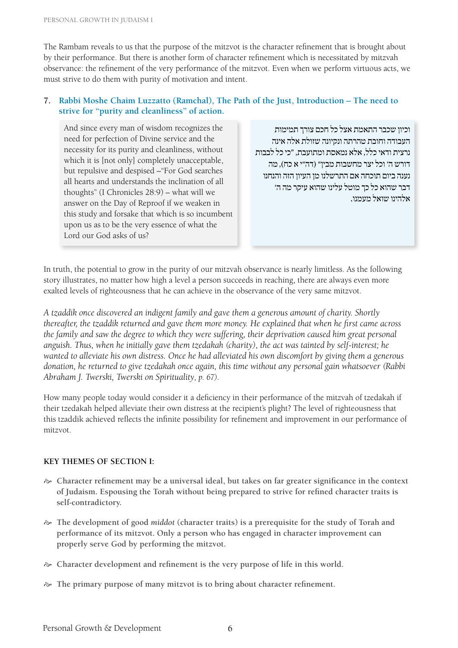The Rambam reveals to us that the purpose of the mitzvot is the character refinement that is brought about by their performance. But there is another form of character refinement which is necessitated by mitzvah observance: the refinement of the very performance of the mitzvot. Even when we perform virtuous acts, we must strive to do them with purity of motivation and intent.

### **7. Rabbi Moshe Chaim Luzzatto (Ramchal), The Path of the Just, Introduction – The need to strive for "purity and cleanliness" of action.**

And since every man of wisdom recognizes the need for perfection of Divine service and the necessity for its purity and cleanliness, without which it is [not only] completely unacceptable, but repulsive and despised –"For God searches all hearts and understands the inclination of all thoughts" (I Chronicles 28:9) – what will we answer on the Day of Reproof if we weaken in this study and forsake that which is so incumbent upon us as to be the very essence of what the Lord our God asks of us?

וכיון שכבר התאמת אצל כל חכם צורך תמימות העבודה וחובת טהרתה ונקיונה שזולת אלה אינה נרצית ודאי כלל, אלא נמאסת ומתועבת, "כי כל לבבות דורש ה' וכל יצר מחשבות מבין" )דה"י א כח(, מה נענה ביום תוכחה אם התרשלנו מן העיון הזה והנחנו דבר שהוא כל כך מוטל עלינו שהוא עיקר מה ה' אלהינו שואל מעמנו.

In truth, the potential to grow in the purity of our mitzvah observance is nearly limitless. As the following story illustrates, no matter how high a level a person succeeds in reaching, there are always even more exalted levels of righteousness that he can achieve in the observance of the very same mitzvot.

*A tzaddik once discovered an indigent family and gave them a generous amount of charity. Shortly thereafter, the tzaddik returned and gave them more money. He explained that when he first came across the family and saw the degree to which they were suffering, their deprivation caused him great personal anguish. Thus, when he initially gave them tzedakah (charity), the act was tainted by self-interest; he wanted to alleviate his own distress. Once he had alleviated his own discomfort by giving them a generous donation, he returned to give tzedakah once again, this time without any personal gain whatsoever (Rabbi Abraham J. Twerski, Twerski on Spirituality, p. 67).*

How many people today would consider it a deficiency in their performance of the mitzvah of tzedakah if their tzedakah helped alleviate their own distress at the recipient's plight? The level of righteousness that this tzaddik achieved reflects the infinite possibility for refinement and improvement in our performance of mitzvot.

#### **Key Themes of Section I:**

- H **Character refinement may be a universal ideal, but takes on far greater significance in the context of Judaism. Espousing the Torah without being prepared to strive for refined character traits is self-contradictory.**
- $\approx$  The development of good *middot* (character traits) is a prerequisite for the study of Torah and **performance of its mitzvot. Only a person who has engaged in character improvement can properly serve God by performing the mitzvot.**
- $\Leftrightarrow$  Character development and refinement is the very purpose of life in this world.
- $\approx$  The primary purpose of many mitzvot is to bring about character refinement.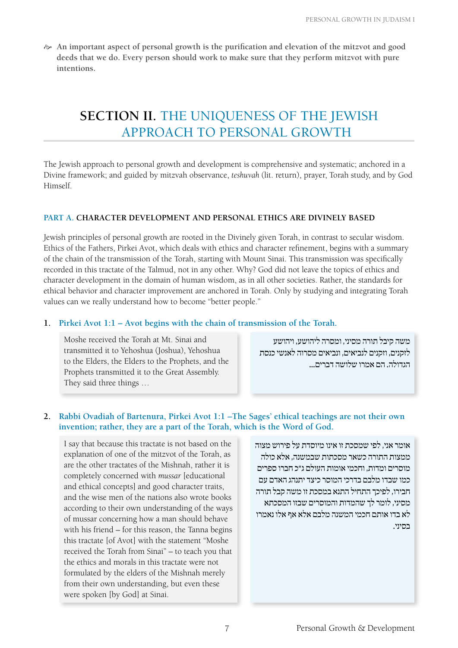$\approx$  An important aspect of personal growth is the purification and elevation of the mitzvot and good **deeds that we do. Every person should work to make sure that they perform mitzvot with pure intentions.** 

# **SECTION II. THE UNIQUENESS OF THE JEWISH** Approach to Personal Growth

The Jewish approach to personal growth and development is comprehensive and systematic; anchored in a Divine framework; and guided by mitzvah observance, *teshuvah* (lit. return), prayer, Torah study, and by God Himself.

#### **Part A. Character Development and Personal Ethics are Divinely Based**

Jewish principles of personal growth are rooted in the Divinely given Torah, in contrast to secular wisdom. Ethics of the Fathers, Pirkei Avot, which deals with ethics and character refinement, begins with a summary of the chain of the transmission of the Torah, starting with Mount Sinai. This transmission was specifically recorded in this tractate of the Talmud, not in any other. Why? God did not leave the topics of ethics and character development in the domain of human wisdom, as in all other societies. Rather, the standards for ethical behavior and character improvement are anchored in Torah. Only by studying and integrating Torah values can we really understand how to become "better people."

#### **1. Pirkei Avot 1:1 – Avot begins with the chain of transmission of the Torah.**

Moshe received the Torah at Mt. Sinai and transmitted it to Yehoshua (Joshua), Yehoshua to the Elders, the Elders to the Prophets, and the Prophets transmitted it to the Great Assembly. They said three things …

משה קיבל תורה מסיני, ומסרה ליהושע, ויהושע לזקנים, וזקנים לנביאים, ונביאים מסרוה לאנשי כנסת הגדולה. הם אמרו שלושה דברים...

#### **2. Rabbi Ovadiah of Bartenura, Pirkei Avot 1:1 –The Sages' ethical teachings are not their own invention; rather, they are a part of the Torah, which is the Word of God.**

I say that because this tractate is not based on the explanation of one of the mitzvot of the Torah, as are the other tractates of the Mishnah, rather it is completely concerned with *mussar* [educational and ethical concepts] and good character traits, and the wise men of the nations also wrote books according to their own understanding of the ways of mussar concerning how a man should behave with his friend – for this reason, the Tanna begins this tractate [of Avot] with the statement "Moshe received the Torah from Sinai" – to teach you that the ethics and morals in this tractate were not formulated by the elders of the Mishnah merely from their own understanding, but even these were spoken [by God] at Sinai.

אומר אני, לפי שמסכת זו אינו מיוסדת על פירוש מצוה ממצות התורה כשאר מסכתות שבמשנה, אלא כולה מוסרים ומדות, וחכמי אומות העולם ג"כ חברו ספרים כמו שבדו מלבם בדרכי המוסר כיצד יתנהג האדם עם חבירו, לפיכך התחיל התנא במסכת זו משה קבל תורה מסיני, לומר לך שהמדות והמוסרים שבזו המסכתא לא בדו אותם חכמי המשנה מלבם אלא אף אלו נאמרו בסיני.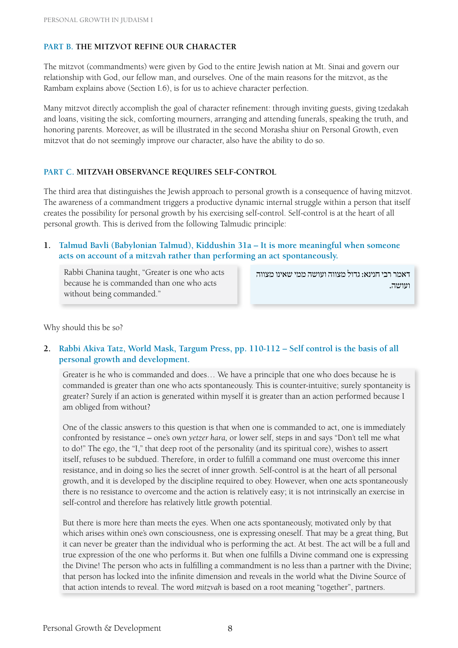### **Part B. The Mitzvot Refine our Character**

The mitzvot (commandments) were given by God to the entire Jewish nation at Mt. Sinai and govern our relationship with God, our fellow man, and ourselves. One of the main reasons for the mitzvot, as the Rambam explains above (Section I.6), is for us to achieve character perfection.

Many mitzvot directly accomplish the goal of character refinement: through inviting guests, giving tzedakah and loans, visiting the sick, comforting mourners, arranging and attending funerals, speaking the truth, and honoring parents. Moreover, as will be illustrated in the second Morasha shiur on Personal Growth, even mitzvot that do not seemingly improve our character, also have the ability to do so.

#### **Part C. Mitzvah Observance Requires Self-Control**

The third area that distinguishes the Jewish approach to personal growth is a consequence of having mitzvot. The awareness of a commandment triggers a productive dynamic internal struggle within a person that itself creates the possibility for personal growth by his exercising self-control. Self-control is at the heart of all personal growth. This is derived from the following Talmudic principle:

#### **1. Talmud Bavli (Babylonian Talmud), Kiddushin 31a – It is more meaningful when someone acts on account of a mitzvah rather than performing an act spontaneously.**

Rabbi Chanina taught, "Greater is one who acts because he is commanded than one who acts without being commanded."

דאמר רבי חנינא: גדול מצווה ועושה ממי שאינו מצווה ועושה.

Why should this be so?

### **2. Rabbi Akiva Tatz, World Mask, Targum Press, pp. 110-112 – Self control is the basis of all personal growth and development.**

Greater is he who is commanded and does… We have a principle that one who does because he is commanded is greater than one who acts spontaneously. This is counter-intuitive; surely spontaneity is greater? Surely if an action is generated within myself it is greater than an action performed because I am obliged from without?

One of the classic answers to this question is that when one is commanded to act, one is immediately confronted by resistance – one's own *yetzer hara,* or lower self, steps in and says "Don't tell me what to do!" The ego, the "I," that deep root of the personality (and its spiritual core), wishes to assert itself, refuses to be subdued. Therefore, in order to fulfill a command one must overcome this inner resistance, and in doing so lies the secret of inner growth. Self-control is at the heart of all personal growth, and it is developed by the discipline required to obey. However, when one acts spontaneously there is no resistance to overcome and the action is relatively easy; it is not intrinsically an exercise in self-control and therefore has relatively little growth potential.

But there is more here than meets the eyes. When one acts spontaneously, motivated only by that which arises within one's own consciousness, one is expressing oneself. That may be a great thing, But it can never be greater than the individual who is performing the act. At best. The act will be a full and true expression of the one who performs it. But when one fulfills a Divine command one is expressing the Divine! The person who acts in fulfilling a commandment is no less than a partner with the Divine; that person has locked into the infinite dimension and reveals in the world what the Divine Source of that action intends to reveal. The word *mitzvah* is based on a root meaning "together", partners.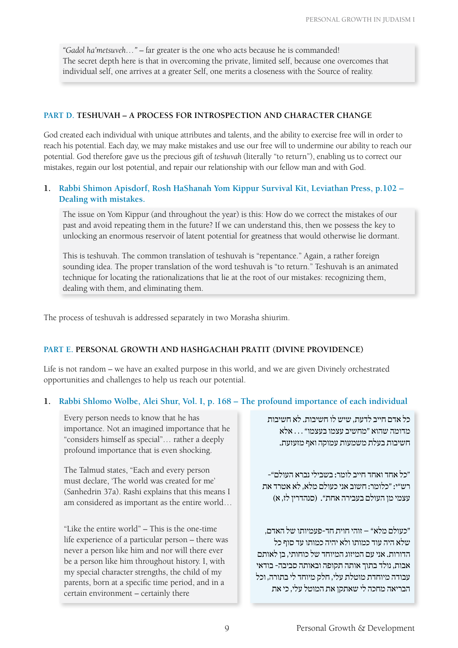*"Gadol ha'metsuveh…" –* far greater is the one who acts because he is commanded! The secret depth here is that in overcoming the private, limited self, because one overcomes that individual self, one arrives at a greater Self, one merits a closeness with the Source of reality.

#### **Part D. Teshuvah – A Process for Introspection and Character Change**

God created each individual with unique attributes and talents, and the ability to exercise free will in order to reach his potential. Each day, we may make mistakes and use our free will to undermine our ability to reach our potential. God therefore gave us the precious gift of *teshuvah* (literally "to return"), enabling us to correct our mistakes, regain our lost potential, and repair our relationship with our fellow man and with God.

#### **1. Rabbi Shimon Apisdorf, Rosh HaShanah Yom Kippur Survival Kit, Leviathan Press, p.102 – Dealing with mistakes.**

The issue on Yom Kippur (and throughout the year) is this: How do we correct the mistakes of our past and avoid repeating them in the future? If we can understand this, then we possess the key to unlocking an enormous reservoir of latent potential for greatness that would otherwise lie dormant.

This is teshuvah. The common translation of teshuvah is "repentance." Again, a rather foreign sounding idea. The proper translation of the word teshuvah is "to return." Teshuvah is an animated technique for locating the rationalizations that lie at the root of our mistakes: recognizing them, dealing with them, and eliminating them.

The process of teshuvah is addressed separately in two Morasha shiurim.

#### **Part E. Personal Growth and Hashgachah Pratit (Divine Providence)**

Life is not random – we have an exalted purpose in this world, and we are given Divinely orchestrated opportunities and challenges to help us reach our potential.

#### **1. Rabbi Shlomo Wolbe, Alei Shur, Vol. I, p. 168 – The profound importance of each individual**

Every person needs to know that he has importance. Not an imagined importance that he "considers himself as special"… rather a deeply profound importance that is even shocking.

The Talmud states, "Each and every person must declare, 'The world was created for me' (Sanhedrin 37a). Rashi explains that this means I am considered as important as the entire world…

"Like the entire world" – This is the one-time life experience of a particular person – there was never a person like him and nor will there ever be a person like him throughout history. I, with my special character strengths, the child of my parents, born at a specific time period, and in a certain environment – certainly there

כל אדם חייב לדעת, שיש לו חשיבות. לא חשיבות מדומה שהוא "מחשיב עצמו בעצמו"... אלא חשיבות בעלת משמעות עמוקה ואף מזעזעת.

"כל אחד ואחד חייב לומר: בשבילי נברא העולם"- רש"י: "כלומר: חשוב אני כעולם מלא, לא אטרד את  $(x, x)$  עצמי מן העולם בעבירה אחת". (סנהדרין לז

"כעולם מלא" – זוהי חוית חד-פעמיותו של האדם, שלא היה עוד כמותו ולא יהיה כמותו עד סוף כל הדורות. אני עם המיזוג המיוחד של כוחותי, בן לאותם אבות, נולד בתוך אותה תקופה ובאותה סביבה- בודאי עבודה מיוחדת מוטלת עלי, חלק מיוחד לי בתורה, וכל הבריאה מחכה לי שאתקן את המוטל עלי, כי את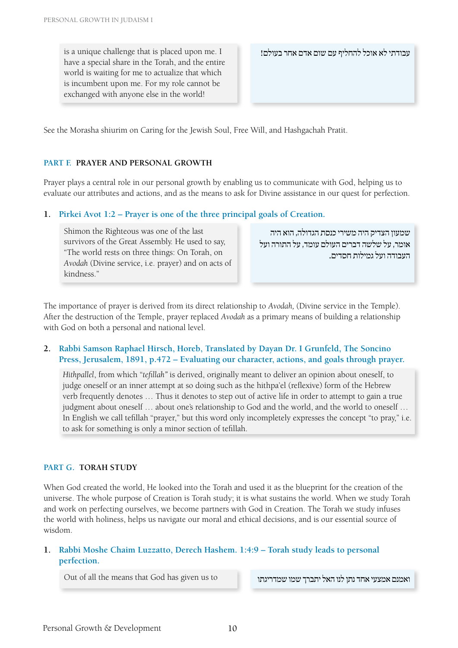is a unique challenge that is placed upon me. I have a special share in the Torah, and the entire world is waiting for me to actualize that which is incumbent upon me. For my role cannot be exchanged with anyone else in the world!

עבודתי לא אוכל להחליף עם שום אדם אחר בעולם!

See the Morasha shiurim on Caring for the Jewish Soul, Free Will, and Hashgachah Pratit.

#### **Part F. Prayer and Personal Growth**

Prayer plays a central role in our personal growth by enabling us to communicate with God, helping us to evaluate our attributes and actions, and as the means to ask for Divine assistance in our quest for perfection.

#### **1. Pirkei Avot 1:2 – Prayer is one of the three principal goals of Creation.**

Shimon the Righteous was one of the last survivors of the Great Assembly. He used to say, "The world rests on three things: On Torah, on *Avodah* (Divine service, i.e. prayer) and on acts of kindness."

שמעון הצדיק היה משירי כנסת הגדולה, הוא היה אומר, על שלשה דברים העולם עומד, על התורה ועל העבודה ועל גמילות חסדים.

The importance of prayer is derived from its direct relationship to *Avodah,* (Divine service in the Temple). After the destruction of the Temple, prayer replaced *Avodah* as a primary means of building a relationship with God on both a personal and national level.

#### **2. Rabbi Samson Raphael Hirsch, Horeb, Translated by Dayan Dr. I Grunfeld, The Soncino Press, Jerusalem, 1891, p.472 – Evaluating our character, actions, and goals through prayer.**

*Hithpallel*, from which "*tefillah"* is derived, originally meant to deliver an opinion about oneself, to judge oneself or an inner attempt at so doing such as the hithpa'el (reflexive) form of the Hebrew verb frequently denotes … Thus it denotes to step out of active life in order to attempt to gain a true judgment about oneself … about one's relationship to God and the world, and the world to oneself … In English we call tefillah "prayer," but this word only incompletely expresses the concept "to pray," i.e. to ask for something is only a minor section of tefillah.

#### **Part G. Torah Study**

When God created the world, He looked into the Torah and used it as the blueprint for the creation of the universe. The whole purpose of Creation is Torah study; it is what sustains the world. When we study Torah and work on perfecting ourselves, we become partners with God in Creation. The Torah we study infuses the world with holiness, helps us navigate our moral and ethical decisions, and is our essential source of wisdom.

#### **1. Rabbi Moshe Chaim Luzzatto, Derech Hashem. 1:4:9 – Torah study leads to personal perfection.**

Out of all the means that God has given us to ואמנם אמצעי אחד נתו לנו האל יתברד שמו שמדריגתו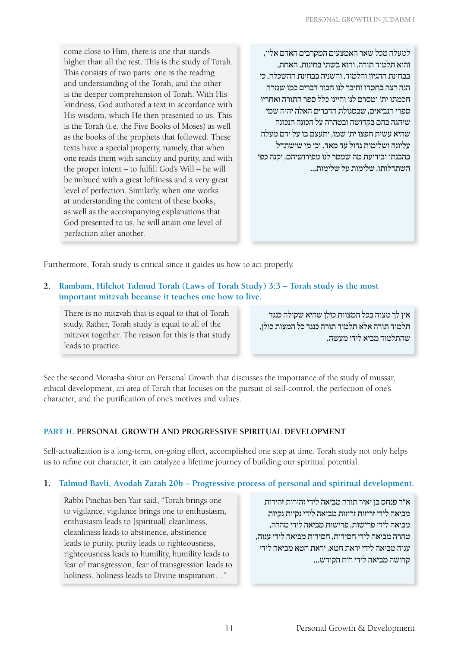למעלה מכל שאר האמצעים המקרבים האדם אליו, והוא תלמוד תורה. והוא בשתי בחינות. האחת, בבחינת ההגיון והלמוד. והשניה בבחינת ההשכלה. כי הנה רצה בחסדו וחיבר לנו חבור דברים כמו שגזרה חכמתו ית' ומסרם לנו והיינו כלל ספר התורה ואחריו ספרי הנביאים, שבסגולת הדברים האלה יהיה שמי שיהגה בהם בקדושה ובטהרה על הכונה הנכונה שהיא עשית חפצו ית' שמו, יתעצם בו על ידם מעלה עליונה ושלימות גדול עד מאד. וכן מי שישתדל בהבנתו ובידיעת מה שמסר לנו מפירושיהם, יקנה כפי השתדלותו, שלימות על שלימות...

come close to Him, there is one that stands higher than all the rest. This is the study of Torah. This consists of two parts: one is the reading and understanding of the Torah, and the other is the deeper comprehension of Torah. With His kindness, God authored a text in accordance with His wisdom, which He then presented to us. This is the Torah (i.e. the Five Books of Moses) as well as the books of the prophets that followed. These texts have a special property, namely, that when one reads them with sanctity and purity, and with the proper intent – to fulfill God's Will – he will be imbued with a great loftiness and a very great level of perfection. Similarly, when one works at understanding the content of these books, as well as the accompanying explanations that God presented to us, he will attain one level of perfection after another.

Furthermore, Torah study is critical since it guides us how to act properly.

**2. Rambam, Hilchot Talmud Torah (Laws of Torah Study) 3:3 – Torah study is the most important mitzvah because it teaches one how to live.**

There is no mitzvah that is equal to that of Torah study. Rather, Torah study is equal to all of the mitzvot together. The reason for this is that study leads to practice.

אין לך מצוה בכל המצוות כולן שהיא שקולה כנגד תלמוד תורה אלא תלמוד תורה כנגד כל המצות כולן, שהתלמוד מביא לידי מעשה.

See the second Morasha shiur on Personal Growth that discusses the importance of the study of mussar, ethical development, an area of Torah that focuses on the pursuit of self-control, the perfection of one's character, and the purification of one's motives and values.

# **Part H. Personal Growth and Progressive Spiritual Development**

Self-actualization is a long-term, on-going effort, accomplished one step at time. Torah study not only helps us to refine our character, it can catalyze a lifetime journey of building our spiritual potential.

# **1. Talmud Bavli, Avodah Zarah 20b – Progressive process of personal and spiritual development.**

Rabbi Pinchas ben Yair said, "Torah brings one to vigilance, vigilance brings one to enthusiasm, enthusiasm leads to [spiritual] cleanliness, cleanliness leads to abstinence, abstinence leads to purity, purity leads to righteousness, righteousness leads to humility, humility leads to fear of transgression, fear of transgression leads to holiness, holiness leads to Divine inspiration…"

א"ר פנחס בן יאיר תורה מביאה לידי זהירות זהירות מביאה לידי זריזות זריזות מביאה לידי נקיות נקיות מביאה לידי פרישות, פרישות מביאה לידי טהרה, טהרה מביאה לידי חסידות, חסידות מביאה לידי ענוה, ענוה מביאה לידי יראת חטא, יראת חטא מביאה לידי קדושה מביאה לידי רוח הקודש...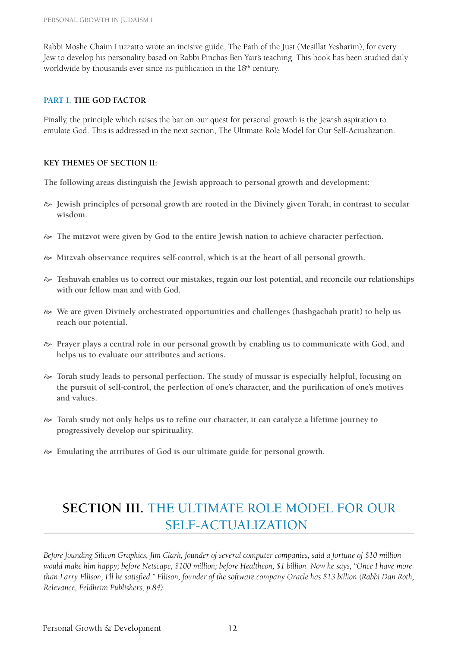Rabbi Moshe Chaim Luzzatto wrote an incisive guide, The Path of the Just (Mesillat Yesharim), for every Jew to develop his personality based on Rabbi Pinchas Ben Yair's teaching. This book has been studied daily worldwide by thousands ever since its publication in the 18<sup>th</sup> century.

#### **Part I. The God Factor**

Finally, the principle which raises the bar on our quest for personal growth is the Jewish aspiration to emulate God. This is addressed in the next section, The Ultimate Role Model for Our Self-Actualization.

#### **Key Themes of Section II:**

**The following areas distinguish the Jewish approach to personal growth and development:**

- H **Jewish principles of personal growth are rooted in the Divinely given Torah, in contrast to secular wisdom.**
- $\approx$  The mitzvot were given by God to the entire Jewish nation to achieve character perfection.
- $\approx$  Mitzvah observance requires self-control, which is at the heart of all personal growth.
- $\approx$  Teshuvah enables us to correct our mistakes, regain our lost potential, and reconcile our relationships **with our fellow man and with God.**
- H **We are given Divinely orchestrated opportunities and challenges (hashgachah pratit) to help us reach our potential.**
- H **Prayer plays a central role in our personal growth by enabling us to communicate with God, and helps us to evaluate our attributes and actions.**
- $\approx$  Torah study leads to personal perfection. The study of mussar is especially helpful, focusing on **the pursuit of self-control, the perfection of one's character, and the purification of one's motives and values.**
- $\gg$  Torah study not only helps us to refine our character, it can catalyze a lifetime journey to **progressively develop our spirituality.**
- $\approx$  Emulating the attributes of God is our ultimate guide for personal growth.

# **Section III.** The Ultimate Role Model for Our Self-Actualization

*Before founding Silicon Graphics, Jim Clark, founder of several computer companies, said a fortune of \$10 million would make him happy; before Netscape, \$100 million; before Healtheon, \$1 billion. Now he says, "Once I have more than Larry Ellison, I'll be satisfied." Ellison, founder of the software company Oracle has \$13 billion (Rabbi Dan Roth, Relevance, Feldheim Publishers, p.84).*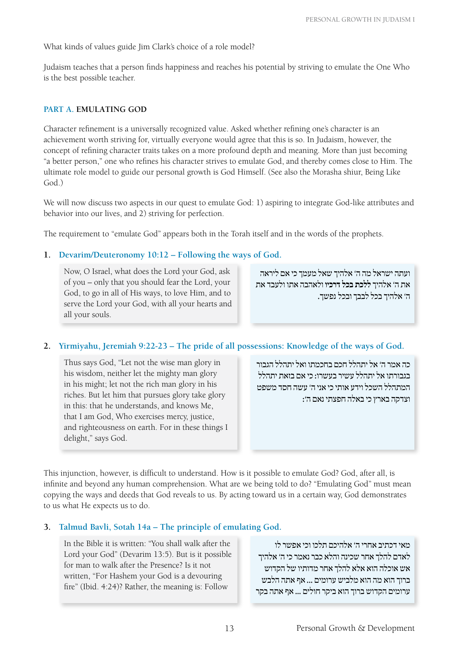What kinds of values guide Jim Clark's choice of a role model?

Judaism teaches that a person finds happiness and reaches his potential by striving to emulate the One Who is the best possible teacher.

#### **Part A. Emulating God**

Character refinement is a universally recognized value. Asked whether refining one's character is an achievement worth striving for, virtually everyone would agree that this is so. In Judaism, however, the concept of refining character traits takes on a more profound depth and meaning. More than just becoming "a better person," one who refines his character strives to emulate God, and thereby comes close to Him. The ultimate role model to guide our personal growth is God Himself. (See also the Morasha shiur, Being Like God.)

We will now discuss two aspects in our quest to emulate God: 1) aspiring to integrate God-like attributes and behavior into our lives, and 2) striving for perfection.

The requirement to "emulate God" appears both in the Torah itself and in the words of the prophets.

#### **1. Devarim/Deuteronomy 10:12 – Following the ways of God.**

Now, O Israel, what does the Lord your God, ask of you – only that you should fear the Lord, your God, to go in all of His ways, to love Him, and to serve the Lord your God, with all your hearts and all your souls.

ועתה ישראל מה ה' אלהיך שאל מעמך כי אם ליראה את ה' אלהיך **ללכת בכל דרכיו** ולאהבה אתו ולעבד את ה' אלהיך בכל לבבך ובכל נפשך.

#### **2. Yirmiyahu, Jeremiah 9:22-23 – The pride of all possessions: Knowledge of the ways of God.**

Thus says God, "Let not the wise man glory in his wisdom, neither let the mighty man glory in his might; let not the rich man glory in his riches. But let him that pursues glory take glory in this: that he understands, and knows Me, that I am God, Who exercises mercy, justice, and righteousness on earth. For in these things I delight," says God.

כה אמר ה' אל יתהלל חכם בחכמתו ואל יתהלל הגבור בגבורתו אל יתהלל עשיר בעשרו: כי אם בזאת יתהלל המתהלל השכל וידע אותי כי אני ה' עשה חסד משפט וצדקה בארץ כי באלה חפצתי נאם ה':

This injunction, however, is difficult to understand. How is it possible to emulate God? God, after all, is infinite and beyond any human comprehension. What are we being told to do? "Emulating God" must mean copying the ways and deeds that God reveals to us. By acting toward us in a certain way, God demonstrates to us what He expects us to do.

#### **3. Talmud Bavli, Sotah 14a – The principle of emulating God.**

In the Bible it is written: "You shall walk after the Lord your God" (Devarim 13:5). But is it possible for man to walk after the Presence? Is it not written, "For Hashem your God is a devouring fire" (Ibid. 4:24)? Rather, the meaning is: Follow

מאי דכתיב אחרי ה' אלהיכם תלכו וכי אפשר לו לאדם להלך אחר שכינה והלא כבר נאמר כי ה' אלהיך אש אוכלה הוא אלא להלך אחר מדותיו של הקדוש ברוך הוא מה הוא מלביש ערומים ... אף אתה הלבש ערומים הקדוש ברוך הוא ביקר חולים ... אף אתה בקר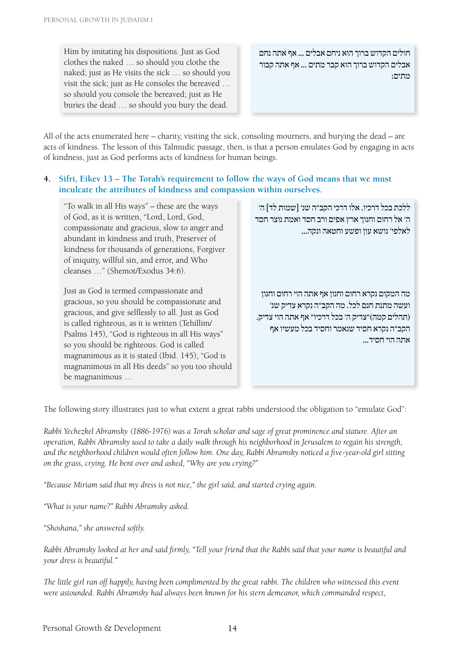Him by imitating his dispositions. Just as God clothes the naked … so should you clothe the naked; just as He visits the sick … so should you visit the sick; just as He consoles the bereaved … so should you console the bereaved; just as He buries the dead … so should you bury the dead.

חולים הקדוש ברוך הוא ניחם אבלים ... אף אתה נחם אבלים הקדוש ברוך הוא קבר מתים ... אף אתה קבור מתים:

All of the acts enumerated here – charity, visiting the sick, consoling mourners, and burying the dead – are acts of kindness. The lesson of this Talmudic passage, then, is that a person emulates God by engaging in acts of kindness, just as God performs acts of kindness for human beings.

#### **4. Sifri, Eikev 13 – The Torah's requirement to follow the ways of God means that we must inculcate the attributes of kindness and compassion within ourselves.**

"To walk in all His ways" – these are the ways of God, as it is written, "Lord, Lord, God, compassionate and gracious, slow to anger and abundant in kindness and truth, Preserver of kindness for thousands of generations, Forgiver of iniquity, willful sin, and error, and Who cleanses …" (Shemot/Exodus 34:6).

Just as God is termed compassionate and gracious, so you should be compassionate and gracious, and give selflessly to all. Just as God is called righteous, as it is written (Tehillim/ Psalms 145), "God is righteous in all His ways" so you should be righteous. God is called magnanimous as it is stated (Ibid. 145), "God is magnanimous in all His deeds" so you too should be magnanimous …

ללכת בכל דרכיו. אלו דרכי הקב"ה שנ' ]שמות לד[ ה' ה' אל רחום וחנוך ארץ אפים ורב חסד ואמת נוצר חסד לאלפי' נושא עון ופשע וחטאה ונקה...

מה המקום נקרא רחום וחנון אף אתה הוי רחום וחנון ועשה מתנת חנם לכל. מה הקב"ה נקרא צדיק שנ' )תהלים קמה("צדיק ה' בכל דרכיו" אף אתה הוי צדיק. הקב"ה נקרא חסיד שנאמר וחסיד בכל מעשיו אף אתה הוי חסיד...

The following story illustrates just to what extent a great rabbi understood the obligation to "emulate God":

*Rabbi Yechezkel Abramsky (1886-1976) was a Torah scholar and sage of great prominence and stature. After an operation, Rabbi Abramsky used to take a daily walk through his neighborhood in Jerusalem to regain his strength, and the neighborhood children would often follow him. One day, Rabbi Abramsky noticed a five-year-old girl sitting on the grass, crying. He bent over and asked, "Why are you crying?"*

*"Because Miriam said that my dress is not nice," the girl said, and started crying again.*

*"What is your name?" Rabbi Abramsky asked.*

*"Shoshana," she answered softly.*

*Rabbi Abramsky looked at her and said firmly, "Tell your friend that the Rabbi said that your name is beautiful and your dress is beautiful."*

*The little girl ran off happily, having been complimented by the great rabbi. The children who witnessed this event were astounded. Rabbi Abramsky had always been known for his stern demeanor, which commanded respect,*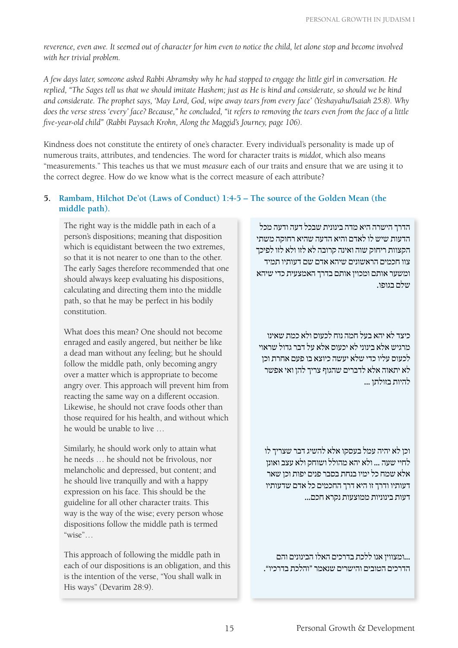*reverence, even awe. It seemed out of character for him even to notice the child, let alone stop and become involved with her trivial problem.*

*A few days later, someone asked Rabbi Abramsky why he had stopped to engage the little girl in conversation. He replied, "The Sages tell us that we should imitate Hashem; just as He is kind and considerate, so should we be kind and considerate. The prophet says, 'May Lord, God, wipe away tears from every face' (Yeshayahu/Isaiah 25:8). Why does the verse stress 'every' face? Because," he concluded, "it refers to removing the tears even from the face of a little five-year-old child" (Rabbi Paysach Krohn, Along the Maggid's Journey, page 106).*

Kindness does not constitute the entirety of one's character. Every individual's personality is made up of numerous traits, attributes, and tendencies. The word for character traits is *middot,* which also means "measurements." This teaches us that we must *measure* each of our traits and ensure that we are using it to the correct degree. How do we know what is the correct measure of each attribute?

### **5. Rambam, Hilchot De'ot (Laws of Conduct) 1:4-5 – The source of the Golden Mean (the middle path).**

The right way is the middle path in each of a person's dispositions; meaning that disposition which is equidistant between the two extremes, so that it is not nearer to one than to the other. The early Sages therefore recommended that one should always keep evaluating his dispositions, calculating and directing them into the middle path, so that he may be perfect in his bodily constitution.

What does this mean? One should not become enraged and easily angered, but neither be like a dead man without any feeling; but he should follow the middle path, only becoming angry over a matter which is appropriate to become angry over. This approach will prevent him from reacting the same way on a different occasion. Likewise, he should not crave foods other than those required for his health, and without which he would be unable to live …

Similarly, he should work only to attain what he needs … he should not be frivolous, nor melancholic and depressed, but content; and he should live tranquilly and with a happy expression on his face. This should be the guideline for all other character traits. This way is the way of the wise; every person whose dispositions follow the middle path is termed "wise"…

This approach of following the middle path in each of our dispositions is an obligation, and this is the intention of the verse, "You shall walk in His ways" (Devarim 28:9).

הדרך הישרה היא מדה בינונית שבכל דעה ודעה מכל הדעות שיש לו לאדם והיא הדעה שהיא רחוקה משתי הקצוות ריחוק שוה ואינה קרובה לא לזו ולא לזו לפיכך צוו חכמים הראשונים שיהא אדם שם דעותיו תמיד ומשער אותם ומכוין אותם בדרך האמצעית כדי שיהא שלם בגופו.

כיצד לא יהא בעל חמה נוח לכעוס ולא כמת שאינו מרגיש אלא בינוני לא יכעוס אלא על דבר גדול שראוי לכעוס עליו כדי שלא יעשה כיוצא בו פעם אחרת וכן לא יתאוה אלא לדברים שהגוף צריך להן ואי אפשר להיות בזולתן ...

וכן לא יהיה עמל בעסקו אלא להשיג דבר שצריך לו לחיי שעה ... ולא יהא מהולל ושוחק ולא עצב ואונן אלא שמח כל ימיו בנחת בסבר פנים יפות וכן שאר דעותיו ודרך זו היא דרך החכמים כל אדם שדעותיו דעות בינוניות ממוצעות נקרא חכם...

...ומצווין אנו ללכת בדרכים האלו הבינונים והם הדרכים הטובים והישרים שנאמר "והלכת בדרכיו".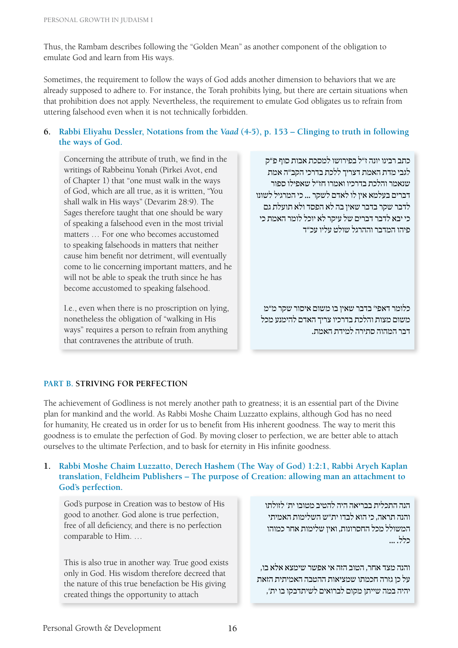Thus, the Rambam describes following the "Golden Mean" as another component of the obligation to emulate God and learn from His ways.

Sometimes, the requirement to follow the ways of God adds another dimension to behaviors that we are already supposed to adhere to. For instance, the Torah prohibits lying, but there are certain situations when that prohibition does not apply. Nevertheless, the requirement to emulate God obligates us to refrain from uttering falsehood even when it is not technically forbidden.

#### **6. Rabbi Eliyahu Dessler, Notations from the** *Vaad* **(4-5), p. 153 – Clinging to truth in following the ways of God.**

Concerning the attribute of truth, we find in the writings of Rabbeinu Yonah (Pirkei Avot, end of Chapter 1) that "one must walk in the ways of God, which are all true, as it is written, "You shall walk in His ways" (Devarim 28:9). The Sages therefore taught that one should be wary of speaking a falsehood even in the most trivial matters … For one who becomes accustomed to speaking falsehoods in matters that neither cause him benefit nor detriment, will eventually come to lie concerning important matters, and he will not be able to speak the truth since he has become accustomed to speaking falsehood.

I.e., even when there is no proscription on lying, nonetheless the obligation of "walking in His ways" requires a person to refrain from anything that contravenes the attribute of truth.

כתב רבינו יונה ז"ל בפירושו למסכת אבות סוף פ"ק לגבי מדת האמת דצריך ללכת בדרכי הקב"ה אמת שנאמר והלכת בדרכיו ואמרו חז"ל שאפילו ספור דברים בעלמא אין לו לאדם לשקר ... כי המרגיל לשונו לדבר שקר בדבר שאין בה לא הפסד ולא תועלת גם כי יבא לדבר דברים של עיקר לא יוכל לומר האמת כי פיהו המדבר וההרגל שולט עליו עכ"ד

כלומר דאפי' בדבר שאין בו משום איסור שקר מ"מ משום מצות והלכת בדרכיו צריך האדם להימנע מכל דבר המהוה סתירה למידת האמת.

#### **Part B. Striving for Perfection**

The achievement of Godliness is not merely another path to greatness; it is an essential part of the Divine plan for mankind and the world. As Rabbi Moshe Chaim Luzzatto explains, although God has no need for humanity, He created us in order for us to benefit from His inherent goodness. The way to merit this goodness is to emulate the perfection of God. By moving closer to perfection, we are better able to attach ourselves to the ultimate Perfection, and to bask for eternity in His infinite goodness.

#### **1. Rabbi Moshe Chaim Luzzatto, Derech Hashem (The Way of God) 1:2:1, Rabbi Aryeh Kaplan translation, Feldheim Publishers – The purpose of Creation: allowing man an attachment to God's perfection.**

God's purpose in Creation was to bestow of His good to another. God alone is true perfection, free of all deficiency, and there is no perfection comparable to Him. …

This is also true in another way. True good exists only in God. His wisdom therefore decreed that the nature of this true benefaction be His giving created things the opportunity to attach

הנה התכלית בבריאה היה להטיב מטובו ית' לזולתו והנה תראה, כי הוא לבדו ית"ש השלימות האמיתי המשולל מכל החסרונות, ואין שלימות אחר כמוהו כלל. ...

והנה מצד אחר, הטוב הזה אי אפשר שימצא אלא בו, על כן גזרה חכמתו שמציאות ההטבה האמיתית הזאת יהיה במה שייתן מקום לברואים לשיתדבקו בו ית',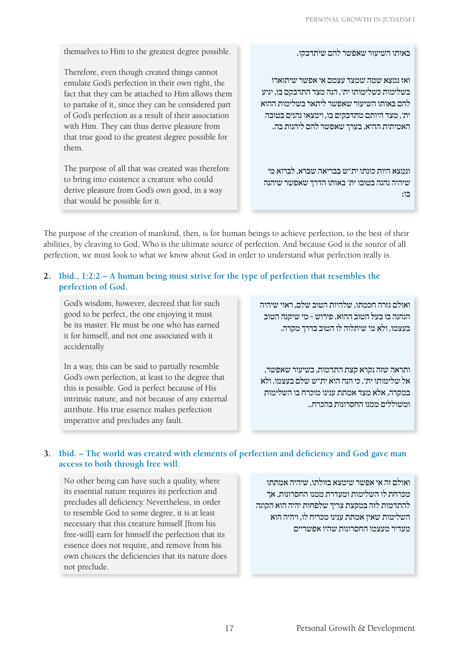themselves to Him to the greatest degree possible.

Therefore, even though created things cannot emulate God's perfection in their own right, the fact that they can be attached to Him allows them to partake of it, since they can be considered part of God's perfection as a result of their association with Him. They can thus derive pleasure from that true good to the greatest degree possible for them.

The purpose of all that was created was therefore to bring into existence a creature who could derive pleasure from God's own good, in a way that would be possible for it.

באותו השיעור שאפשר להם שיתדבקו.

ואז נמצא שמה שמצד עצמם אי אפשר שיתוארו בשלימות כשלימותו ית', הנה מצד התדבקם בו, יגיע להם באותו השיעור שאפשר ליתאר בשלימות ההוא ית', מצד היותם מתדבקים בו, וימצאו נהנים בטובה האמיתית ההיא, בערך שאפשר להם ליהנות בה.

ונמצא היות כונתו ית"ש בבריאה שברא, לברוא מי שיהיה נהנה בטובו ית' באותו הדרך שאפשר שיהנה בו:

The purpose of the creation of mankind, then, is for human beings to achieve perfection, to the best of their abilities, by cleaving to God, Who is the ultimate source of perfection. And because God is the source of all perfection, we must look to what we know about God in order to understand what perfection really is.

## **2. Ibid., 1:2:2 – A human being must strive for the type of perfection that resembles the perfection of God.**

God's wisdom, however, decreed that for such good to be perfect, the one enjoying it must be its master. He must be one who has earned it for himself, and not one associated with it accidentally.

In a way, this can be said to partially resemble God's own perfection, at least to the degree that this is possible. God is perfect because of His intrinsic nature, and not because of any external attribute. His true essence makes perfection imperative and precludes any fault.

ואולם גזרה חכמתו, שלהיות הטוב שלם, ראוי שיהיה הנהנה בו בעל הטוב ההוא. פירוש - מי שיקנה הטוב בעצמו, ולא מי שיתלוה לו הטוב בדרך מקרה.

ותראה שזה נקרא קצת התדמות, בשיעור שאפשר, אל שלימותו ית'. כי הנה הוא ית"ש שלם בעצמו, ולא במקרה, אלא מצד אמתת ענינו מוכרח בו השלימות ומשוללים ממנו החסרונות בהכרח..

## **3. Ibid. – The world was created with elements of perfection and deficiency and God gave man access to both through free will.**

No other being can have such a quality, where its essential nature requires its perfection and precludes all deficiency. Nevertheless, in order to resemble God to some degree, it is at least necessary that this creature himself [from his free-will] earn for himself the perfection that its essence does not require, and remove from his own choices the deficiencies that its nature does not preclude.

ואולם זה אי אפשר שימצא בזולתו, שיהיה אמתתו מכרחת לו השלימות ומעדרת ממנו החסרונות. אך להתדמות לזה במקצת צריך שלפחות יהיה הוא הקונה השלימות שאין אמתת ענינו מכריח לו, ויהיה הוא מעדיר מעצמו החסרונות שהיו אפשריים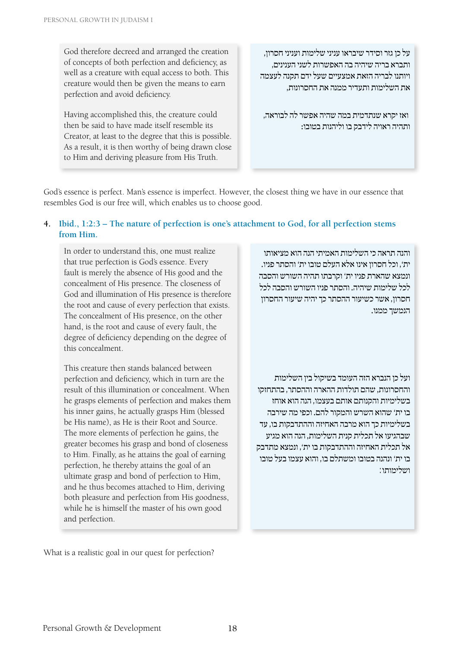God therefore decreed and arranged the creation of concepts of both perfection and deficiency, as well as a creature with equal access to both. This creature would then be given the means to earn perfection and avoid deficiency.

Having accomplished this, the creature could then be said to have made itself resemble its Creator, at least to the degree that this is possible. As a result, it is then worthy of being drawn close to Him and deriving pleasure from His Truth.

על כן גזר וסידר שיבראו עניני שלימות ועניני חסרון, ותברא בריה שיהיה בה האפשרות לשני הענינים, ויותנו לבריה הזאת אמצעיים שעל ידם תקנה לעצמה את השלימות ותעדיר ממנה את החסרונות,

 ואז יקרא שנתדמית במה שהיה אפשר לה לבוראה, ותהיה ראויה לידבק בו וליהנות בטובו:

God's essence is perfect. Man's essence is imperfect. However, the closest thing we have in our essence that resembles God is our free will, which enables us to choose good.

### **4. Ibid., 1:2:3 – The nature of perfection is one's attachment to God, for all perfection stems from Him.**

In order to understand this, one must realize that true perfection is God's essence. Every fault is merely the absence of His good and the concealment of His presence. The closeness of God and illumination of His presence is therefore the root and cause of every perfection that exists. The concealment of His presence, on the other hand, is the root and cause of every fault, the degree of deficiency depending on the degree of this concealment.

This creature then stands balanced between perfection and deficiency, which in turn are the result of this illumination or concealment. When he grasps elements of perfection and makes them his inner gains, he actually grasps Him (blessed be His name), as He is their Root and Source. The more elements of perfection he gains, the greater becomes his grasp and bond of closeness to Him. Finally, as he attains the goal of earning perfection, he thereby attains the goal of an ultimate grasp and bond of perfection to Him, and he thus becomes attached to Him, deriving both pleasure and perfection from His goodness, while he is himself the master of his own good and perfection.

What is a realistic goal in our quest for perfection?

והנה תראה כי השלימות האמיתי הנה הוא מציאותו ית', וכל חסרון אינו אלא העלם טובו ית' והסתר פניו. ונמצא שהארת פניו ית' וקרבתו תהיה השורש והסבה לכל שלימות שיהיה. והסתר פניו השורש והסבה לכל חסרון, אשר כשיעור ההסתר כך יהיה שיעור החסרון הנמשך ממנו.

ועל כן הנברא הזה העומד בשיקול בין השלימות והחסרונות, שהם תולדות ההארה וההסתר, בהתחזקו בשלימיות והקנותם אותם בעצמו, הנה הוא אוחז בו ית' שהוא השרש והמקור להם. וכפי מה שירבה בשלימיות כך הוא מרבה האחיזה וההתדבקות בו, עד שבהגיעו אל תכלית קנית השלימות, הנה הוא מגיע אל תכלית האחיזה וההתדבקות בו ית', ונמצא מתדבק בו ית' ונהנה בטובו ומשתלם בו, והוא עצמו בעל טובו ושלימותו: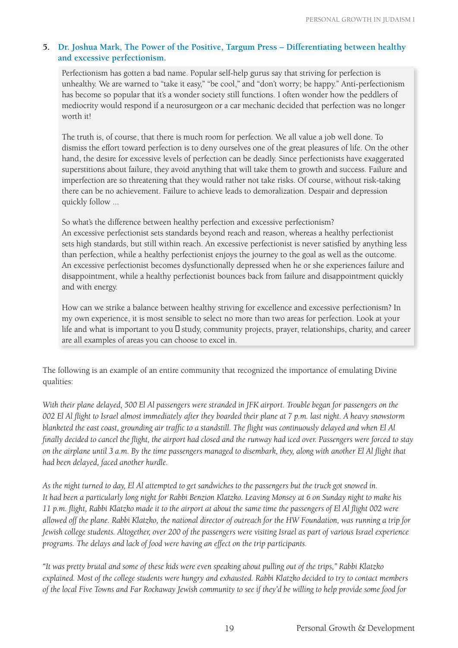### **5. Dr. Joshua Mark, The Power of the Positive, Targum Press – Differentiating between healthy and excessive perfectionism.**

Perfectionism has gotten a bad name. Popular self-help gurus say that striving for perfection is unhealthy. We are warned to "take it easy," "be cool," and "don't worry; be happy." Anti-perfectionism has become so popular that it's a wonder society still functions. I often wonder how the peddlers of mediocrity would respond if a neurosurgeon or a car mechanic decided that perfection was no longer worth it!

The truth is, of course, that there is much room for perfection. We all value a job well done. To dismiss the effort toward perfection is to deny ourselves one of the great pleasures of life. On the other hand, the desire for excessive levels of perfection can be deadly. Since perfectionists have exaggerated superstitions about failure, they avoid anything that will take them to growth and success. Failure and imperfection are so threatening that they would rather not take risks. Of course, without risk-taking there can be no achievement. Failure to achieve leads to demoralization. Despair and depression quickly follow ...

So what's the difference between healthy perfection and excessive perfectionism? An excessive perfectionist sets standards beyond reach and reason, whereas a healthy perfectionist sets high standards, but still within reach. An excessive perfectionist is never satisfied by anything less than perfection, while a healthy perfectionist enjoys the journey to the goal as well as the outcome. An excessive perfectionist becomes dysfunctionally depressed when he or she experiences failure and disappointment, while a healthy perfectionist bounces back from failure and disappointment quickly and with energy.

How can we strike a balance between healthy striving for excellence and excessive perfectionism? In my own experience, it is most sensible to select no more than two areas for perfection. Look at your life and what is important to you  $\square$  study, community projects, prayer, relationships, charity, and career are all examples of areas you can choose to excel in.

The following is an example of an entire community that recognized the importance of emulating Divine qualities:

*With their plane delayed, 500 El Al passengers were stranded in JFK airport. Trouble began for passengers on the 002 El Al flight to Israel almost immediately after they boarded their plane at 7 p.m. last night. A heavy snowstorm blanketed the east coast, grounding air traffic to a standstill. The flight was continuously delayed and when El Al finally decided to cancel the flight, the airport had closed and the runway had iced over. Passengers were forced to stay on the airplane until 3 a.m. By the time passengers managed to disembark, they, along with another El Al flight that had been delayed, faced another hurdle.* 

*As the night turned to day, El Al attempted to get sandwiches to the passengers but the truck got snowed in. It had been a particularly long night for Rabbi Benzion Klatzko. Leaving Monsey at 6 on Sunday night to make his 11 p.m. flight, Rabbi Klatzko made it to the airport at about the same time the passengers of El Al flight 002 were allowed off the plane. Rabbi Klatzko, the national director of outreach for the HW Foundation, was running a trip for Jewish college students. Altogether, over 200 of the passengers were visiting Israel as part of various Israel experience programs. The delays and lack of food were having an effect on the trip participants.*

*"It was pretty brutal and some of these kids were even speaking about pulling out of the trips," Rabbi Klatzko explained. Most of the college students were hungry and exhausted. Rabbi Klatzko decided to try to contact members of the local Five Towns and Far Rockaway Jewish community to see if they'd be willing to help provide some food for*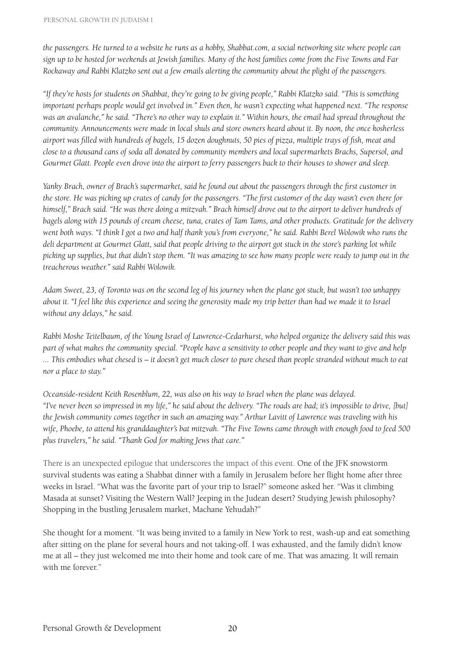*the passengers. He turned to a website he runs as a hobby, Shabbat.com, a social networking site where people can sign up to be hosted for weekends at Jewish families. Many of the host families come from the Five Towns and Far Rockaway and Rabbi Klatzko sent out a few emails alerting the community about the plight of the passengers.* 

*"If they're hosts for students on Shabbat, they're going to be giving people," Rabbi Klatzko said. "This is something important perhaps people would get involved in." Even then, he wasn't expecting what happened next. "The response*  was an avalanche," he said. "There's no other way to explain it." Within hours, the email had spread throughout the *community. Announcements were made in local shuls and store owners heard about it. By noon, the once kosherless airport was filled with hundreds of bagels, 15 dozen doughnuts, 50 pies of pizza, multiple trays of fish, meat and close to a thousand cans of soda all donated by community members and local supermarkets Brachs, Supersol, and Gourmet Glatt. People even drove into the airport to ferry passengers back to their houses to shower and sleep.* 

*Yanky Brach, owner of Brach's supermarket, said he found out about the passengers through the first customer in the store. He was picking up crates of candy for the passengers. "The first customer of the day wasn't even there for himself," Brach said. "He was there doing a mitzvah." Brach himself drove out to the airport to deliver hundreds of bagels along with 15 pounds of cream cheese, tuna, crates of Tam Tams, and other products. Gratitude for the delivery went both ways. "I think I got a two and half thank you's from everyone," he said. Rabbi Berel Wolowik who runs the deli department at Gourmet Glatt, said that people driving to the airport got stuck in the store's parking lot while picking up supplies, but that didn't stop them. "It was amazing to see how many people were ready to jump out in the treacherous weather." said Rabbi Wolowik.* 

*Adam Sweet, 23, of Toronto was on the second leg of his journey when the plane got stuck, but wasn't too unhappy about it. "I feel like this experience and seeing the generosity made my trip better than had we made it to Israel without any delays," he said.* 

*Rabbi Moshe Teitelbaum, of the Young Israel of Lawrence-Cedarhurst, who helped organize the delivery said this was part of what makes the community special. "People have a sensitivity to other people and they want to give and help ... This embodies what chesed is – it doesn't get much closer to pure chesed than people stranded without much to eat nor a place to stay."* 

*Oceanside-resident Keith Rosenblum, 22, was also on his way to Israel when the plane was delayed. "I've never been so impressed in my life," he said about the delivery. "The roads are bad; it's impossible to drive, [but] the Jewish community comes together in such an amazing way." Arthur Lavitt of Lawrence was traveling with his wife, Phoebe, to attend his granddaughter's bat mitzvah. "The Five Towns came through with enough food to feed 500 plus travelers," he said. "Thank God for making Jews that care."* 

There is an unexpected epilogue that underscores the impact of this event. One of the JFK snowstorm survival students was eating a Shabbat dinner with a family in Jerusalem before her flight home after three weeks in Israel. "What was the favorite part of your trip to Israel?" someone asked her. "Was it climbing Masada at sunset? Visiting the Western Wall? Jeeping in the Judean desert? Studying Jewish philosophy? Shopping in the bustling Jerusalem market, Machane Yehudah?"

She thought for a moment. "It was being invited to a family in New York to rest, wash-up and eat something after sitting on the plane for several hours and not taking-off. I was exhausted, and the family didn't know me at all – they just welcomed me into their home and took care of me. That was amazing. It will remain with me forever."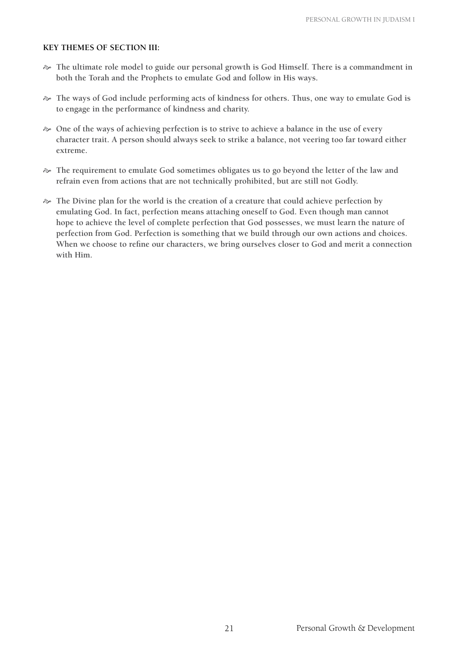#### **Key Themes of Section III:**

- → The ultimate role model to guide our personal growth is God Himself. There is a commandment in **both the Torah and the Prophets to emulate God and follow in His ways.**
- $\approx$  The ways of God include performing acts of kindness for others. Thus, one way to emulate God is **to engage in the performance of kindness and charity.**
- H **One of the ways of achieving perfection is to strive to achieve a balance in the use of every character trait. A person should always seek to strike a balance, not veering too far toward either extreme.**
- → The requirement to emulate God sometimes obligates us to go beyond the letter of the law and **refrain even from actions that are not technically prohibited, but are still not Godly.**
- H **The Divine plan for the world is the creation of a creature that could achieve perfection by emulating God. In fact, perfection means attaching oneself to God. Even though man cannot hope to achieve the level of complete perfection that God possesses, we must learn the nature of perfection from God. Perfection is something that we build through our own actions and choices. When we choose to refine our characters, we bring ourselves closer to God and merit a connection with Him.**